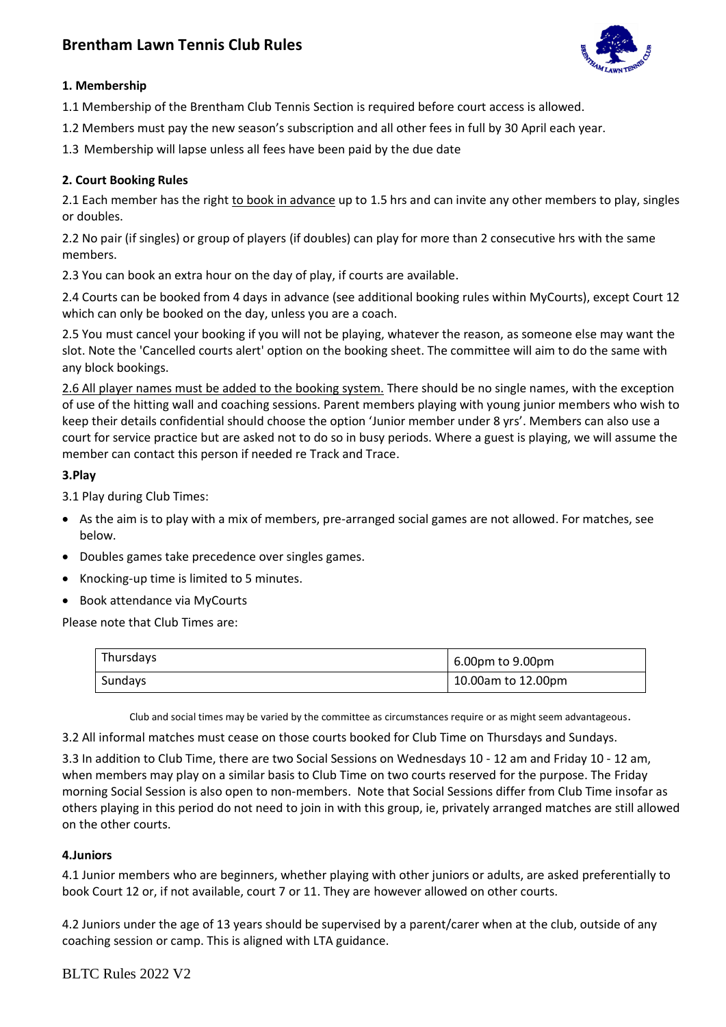# **Brentham Lawn Tennis Club Rules**



## **1. Membership**

1.1 Membership of the Brentham Club Tennis Section is required before court access is allowed.

1.2 Members must pay the new season's subscription and all other fees in full by 30 April each year.

1.3 Membership will lapse unless all fees have been paid by the due date

## **2. Court Booking Rules**

2.1 Each member has the right to book in advance up to 1.5 hrs and can invite any other members to play, singles or doubles.

2.2 No pair (if singles) or group of players (if doubles) can play for more than 2 consecutive hrs with the same members.

2.3 You can book an extra hour on the day of play, if courts are available.

2.4 Courts can be booked from 4 days in advance (see additional booking rules within MyCourts), except Court 12 which can only be booked on the day, unless you are a coach.

2.5 You must cancel your booking if you will not be playing, whatever the reason, as someone else may want the slot. Note the 'Cancelled courts alert' option on the booking sheet. The committee will aim to do the same with any block bookings.

2.6 All player names must be added to the booking system. There should be no single names, with the exception of use of the hitting wall and coaching sessions. Parent members playing with young junior members who wish to keep their details confidential should choose the option 'Junior member under 8 yrs'. Members can also use a court for service practice but are asked not to do so in busy periods. Where a guest is playing, we will assume the member can contact this person if needed re Track and Trace.

## **3.Play**

3.1 Play during Club Times:

- As the aim is to play with a mix of members, pre-arranged social games are not allowed. For matches, see below.
- Doubles games take precedence over singles games.
- Knocking-up time is limited to 5 minutes.
- Book attendance via MyCourts

Please note that Club Times are:

| Thursdays | 6.00pm to 9.00pm   |
|-----------|--------------------|
| Sundays   | 10.00am to 12.00pm |

Club and social times may be varied by the committee as circumstances require or as might seem advantageous.

3.2 All informal matches must cease on those courts booked for Club Time on Thursdays and Sundays.

3.3 In addition to Club Time, there are two Social Sessions on Wednesdays 10 - 12 am and Friday 10 - 12 am, when members may play on a similar basis to Club Time on two courts reserved for the purpose. The Friday morning Social Session is also open to non-members. Note that Social Sessions differ from Club Time insofar as others playing in this period do not need to join in with this group, ie, privately arranged matches are still allowed on the other courts.

#### **4.Juniors**

4.1 Junior members who are beginners, whether playing with other juniors or adults, are asked preferentially to book Court 12 or, if not available, court 7 or 11. They are however allowed on other courts.

4.2 Juniors under the age of 13 years should be supervised by a parent/carer when at the club, outside of any coaching session or camp. This is aligned with LTA guidance.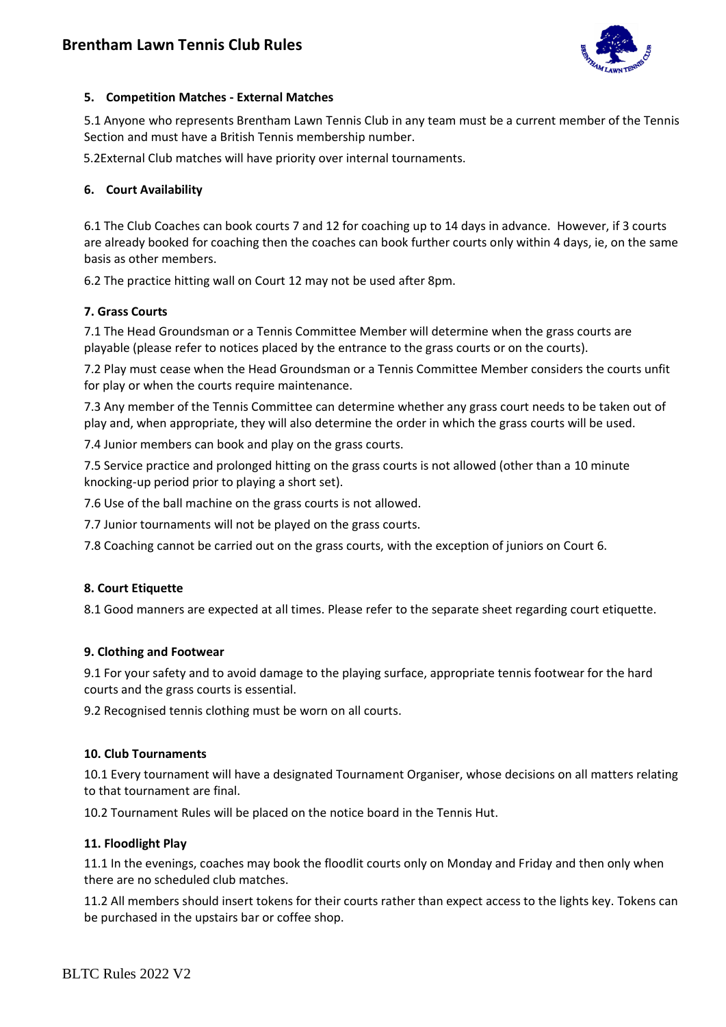

## **5. Competition Matches - External Matches**

5.1 Anyone who represents Brentham Lawn Tennis Club in any team must be a current member of the Tennis Section and must have a British Tennis membership number.

5.2External Club matches will have priority over internal tournaments.

## **6. Court Availability**

6.1 The Club Coaches can book courts 7 and 12 for coaching up to 14 days in advance. However, if 3 courts are already booked for coaching then the coaches can book further courts only within 4 days, ie, on the same basis as other members.

6.2 The practice hitting wall on Court 12 may not be used after 8pm.

## **7. Grass Courts**

7.1 The Head Groundsman or a Tennis Committee Member will determine when the grass courts are playable (please refer to notices placed by the entrance to the grass courts or on the courts).

7.2 Play must cease when the Head Groundsman or a Tennis Committee Member considers the courts unfit for play or when the courts require maintenance.

7.3 Any member of the Tennis Committee can determine whether any grass court needs to be taken out of play and, when appropriate, they will also determine the order in which the grass courts will be used.

7.4 Junior members can book and play on the grass courts.

7.5 Service practice and prolonged hitting on the grass courts is not allowed (other than a 10 minute knocking-up period prior to playing a short set).

7.6 Use of the ball machine on the grass courts is not allowed.

7.7 Junior tournaments will not be played on the grass courts.

7.8 Coaching cannot be carried out on the grass courts, with the exception of juniors on Court 6.

#### **8. Court Etiquette**

8.1 Good manners are expected at all times. Please refer to the separate sheet regarding court etiquette.

#### **9. Clothing and Footwear**

9.1 For your safety and to avoid damage to the playing surface, appropriate tennis footwear for the hard courts and the grass courts is essential.

9.2 Recognised tennis clothing must be worn on all courts.

#### **10. Club Tournaments**

10.1 Every tournament will have a designated Tournament Organiser, whose decisions on all matters relating to that tournament are final.

10.2 Tournament Rules will be placed on the notice board in the Tennis Hut.

#### **11. Floodlight Play**

11.1 In the evenings, coaches may book the floodlit courts only on Monday and Friday and then only when there are no scheduled club matches.

11.2 All members should insert tokens for their courts rather than expect access to the lights key. Tokens can be purchased in the upstairs bar or coffee shop.